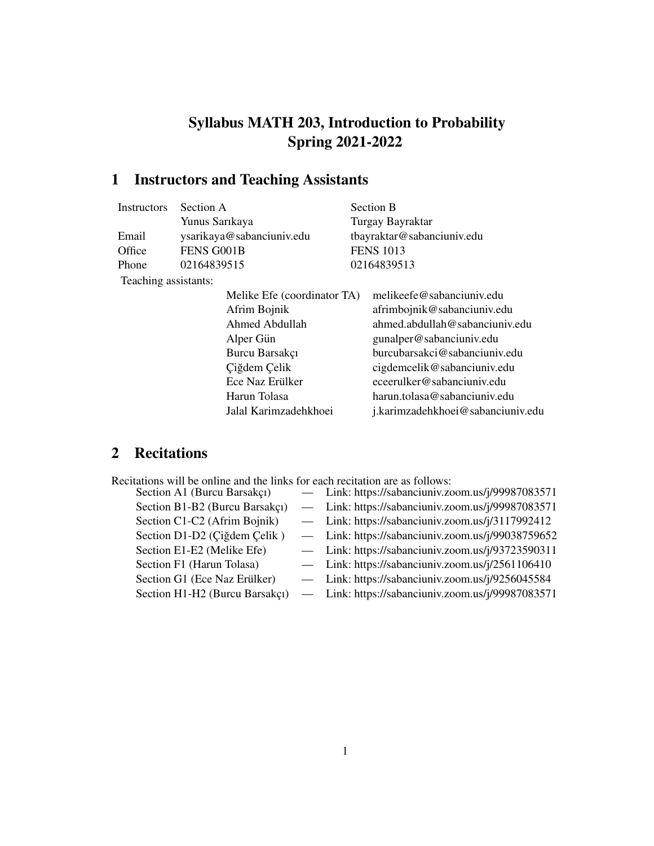## Syllabus MATH 203, Introduction to Probability Spring 2021-2022

# 1 Instructors and Teaching Assistants

| <b>Instructors</b>   | Section A                                                     |                             | Section B                                                  |  |
|----------------------|---------------------------------------------------------------|-----------------------------|------------------------------------------------------------|--|
|                      | Yunus Sarıkaya                                                |                             | Turgay Bayraktar                                           |  |
| Email                | ysarikaya@sabanciuniv.edu                                     |                             | tbayraktar@sabanciuniv.edu                                 |  |
| Office               | FENS G001B                                                    |                             | <b>FENS 1013</b>                                           |  |
| Phone                | 02164839515                                                   |                             | 02164839513                                                |  |
| Teaching assistants: |                                                               |                             |                                                            |  |
|                      |                                                               | Melike Efe (coordinator TA) | melikeefe@sabanciuniv.edu                                  |  |
|                      | Afrim Bojnik                                                  |                             | afrimbojnik@sabanciuniv.edu                                |  |
|                      | Ahmed Abdullah<br>Alper Gün<br>Burcu Barsakçı<br>Çiğdem Çelik |                             | ahmed.abdullah@sabanciuniv.edu<br>gunalper@sabanciuniv.edu |  |
|                      |                                                               |                             |                                                            |  |
|                      |                                                               |                             | burcubarsakci@sabanciuniv.edu                              |  |
|                      |                                                               |                             | cigdemcelik@sabanciuniv.edu                                |  |
|                      | Ece Naz Erülker                                               |                             | eceerulker@sabanciuniv.edu                                 |  |
|                      | Harun Tolasa                                                  |                             | harun.tolasa@sabanciuniv.edu                               |  |
|                      |                                                               | Jalal Karimzadehkhoei       | j.karimzadehkhoei@sabanciuniv.edu                          |  |
|                      |                                                               |                             |                                                            |  |

### 2 Recitations

| Recitations will be online and the links for each recitation are as follows: |  |
|------------------------------------------------------------------------------|--|
|------------------------------------------------------------------------------|--|

| Section A1 (Burcu Barsakçı)    | - Link: https://sabanciuniv.zoom.us/j/99987083571  |
|--------------------------------|----------------------------------------------------|
| Section B1-B2 (Burcu Barsakçı) | - Link: https://sabanciuniv.zoom.us/j/99987083571  |
| Section C1-C2 (Afrim Bojnik)   | $-$ Link: https://sabanciuniv.zoom.us/j/3117992412 |
| Section D1-D2 (Çiğdem Çelik)   | - Link: https://sabanciuniv.zoom.us/j/99038759652  |
| Section E1-E2 (Melike Efe)     | - Link: https://sabanciuniv.zoom.us/j/93723590311  |
| Section F1 (Harun Tolasa)      | - Link: https://sabanciuniv.zoom.us/j/2561106410   |
| Section G1 (Ece Naz Erülker)   | - Link: https://sabanciuniv.zoom.us/j/9256045584   |
| Section H1-H2 (Burcu Barsakçı) | - Link: https://sabanciuniv.zoom.us/j/99987083571  |
|                                |                                                    |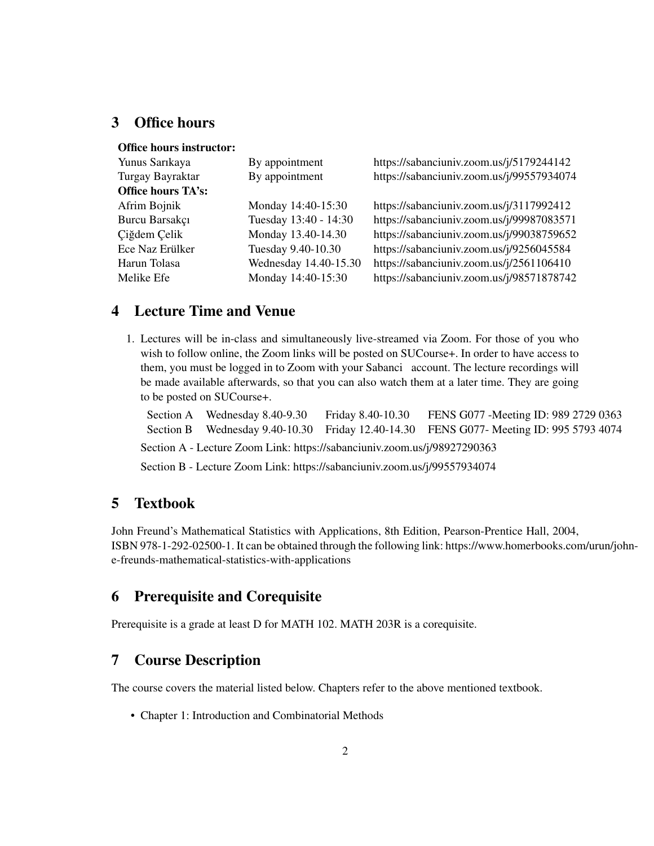#### 3 Office hours

| <b>Office hours instructor:</b> |                       |                                           |
|---------------------------------|-----------------------|-------------------------------------------|
| Yunus Sarıkaya                  | By appointment        | https://sabanciuniv.zoom.us/j/5179244142  |
| Turgay Bayraktar                | By appointment        | https://sabanciuniv.zoom.us/j/99557934074 |
| <b>Office hours TA's:</b>       |                       |                                           |
| Afrim Bojnik                    | Monday 14:40-15:30    | https://sabanciuniv.zoom.us/j/3117992412  |
| Burcu Barsakçı                  | Tuesday 13:40 - 14:30 | https://sabanciuniv.zoom.us/j/99987083571 |
| Ciğdem Çelik                    | Monday 13.40-14.30    | https://sabanciuniv.zoom.us/j/99038759652 |
| Ece Naz Erülker                 | Tuesday 9.40-10.30    | https://sabanciuniv.zoom.us/j/9256045584  |
| Harun Tolasa                    | Wednesday 14.40-15.30 | https://sabanciuniv.zoom.us/j/2561106410  |
| Melike Efe                      | Monday 14:40-15:30    | https://sabanciuniv.zoom.us/j/98571878742 |

#### 4 Lecture Time and Venue

1. Lectures will be in-class and simultaneously live-streamed via Zoom. For those of you who wish to follow online, the Zoom links will be posted on SUCourse+. In order to have access to them, you must be logged in to Zoom with your Sabanci account. The lecture recordings will be made available afterwards, so that you can also watch them at a later time. They are going to be posted on SUCourse+.

Section A Wednesday 8.40-9.30 Friday 8.40-10.30 FENS G077 - Meeting ID: 989 2729 0363 Section B Wednesday 9.40-10.30 Friday 12.40-14.30 FENS G077- Meeting ID: 995 5793 4074 Section A - Lecture Zoom Link: https://sabanciuniv.zoom.us/j/98927290363

Section B - Lecture Zoom Link: https://sabanciuniv.zoom.us/j/99557934074

#### 5 Textbook

John Freund's Mathematical Statistics with Applications, 8th Edition, Pearson-Prentice Hall, 2004, ISBN 978-1-292-02500-1. It can be obtained through the following link: https://www.homerbooks.com/urun/johne-freunds-mathematical-statistics-with-applications

#### 6 Prerequisite and Corequisite

Prerequisite is a grade at least D for MATH 102. MATH 203R is a corequisite.

#### 7 Course Description

The course covers the material listed below. Chapters refer to the above mentioned textbook.

• Chapter 1: Introduction and Combinatorial Methods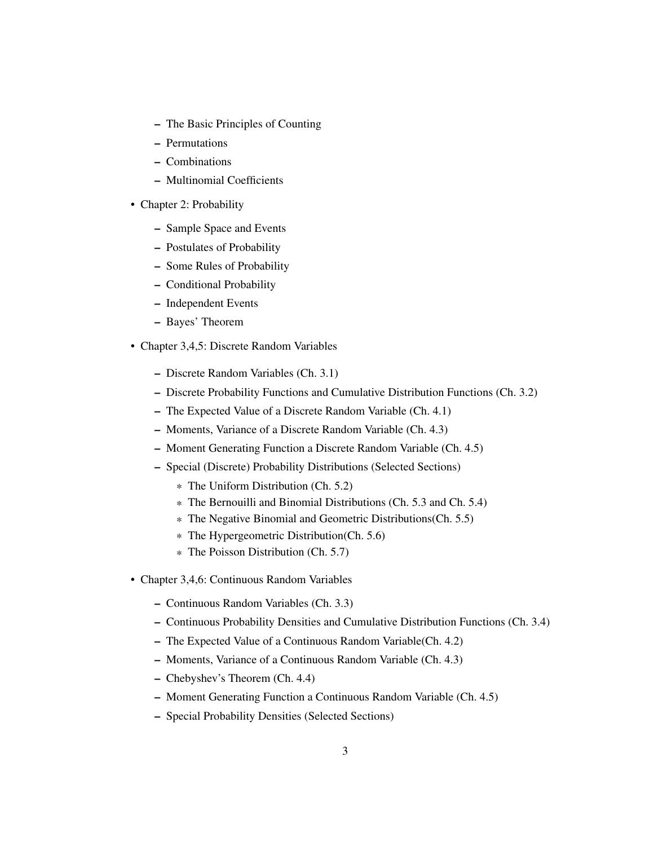- The Basic Principles of Counting
- Permutations
- Combinations
- Multinomial Coefficients
- Chapter 2: Probability
	- Sample Space and Events
	- Postulates of Probability
	- Some Rules of Probability
	- Conditional Probability
	- Independent Events
	- Bayes' Theorem
- Chapter 3,4,5: Discrete Random Variables
	- Discrete Random Variables (Ch. 3.1)
	- Discrete Probability Functions and Cumulative Distribution Functions (Ch. 3.2)
	- The Expected Value of a Discrete Random Variable (Ch. 4.1)
	- Moments, Variance of a Discrete Random Variable (Ch. 4.3)
	- Moment Generating Function a Discrete Random Variable (Ch. 4.5)
	- Special (Discrete) Probability Distributions (Selected Sections)
		- \* The Uniform Distribution (Ch. 5.2)
		- \* The Bernouilli and Binomial Distributions (Ch. 5.3 and Ch. 5.4)
		- \* The Negative Binomial and Geometric Distributions(Ch. 5.5)
		- \* The Hypergeometric Distribution(Ch. 5.6)
		- \* The Poisson Distribution (Ch. 5.7)
- Chapter 3,4,6: Continuous Random Variables
	- Continuous Random Variables (Ch. 3.3)
	- Continuous Probability Densities and Cumulative Distribution Functions (Ch. 3.4)
	- The Expected Value of a Continuous Random Variable(Ch. 4.2)
	- Moments, Variance of a Continuous Random Variable (Ch. 4.3)
	- Chebyshev's Theorem (Ch. 4.4)
	- Moment Generating Function a Continuous Random Variable (Ch. 4.5)
	- Special Probability Densities (Selected Sections)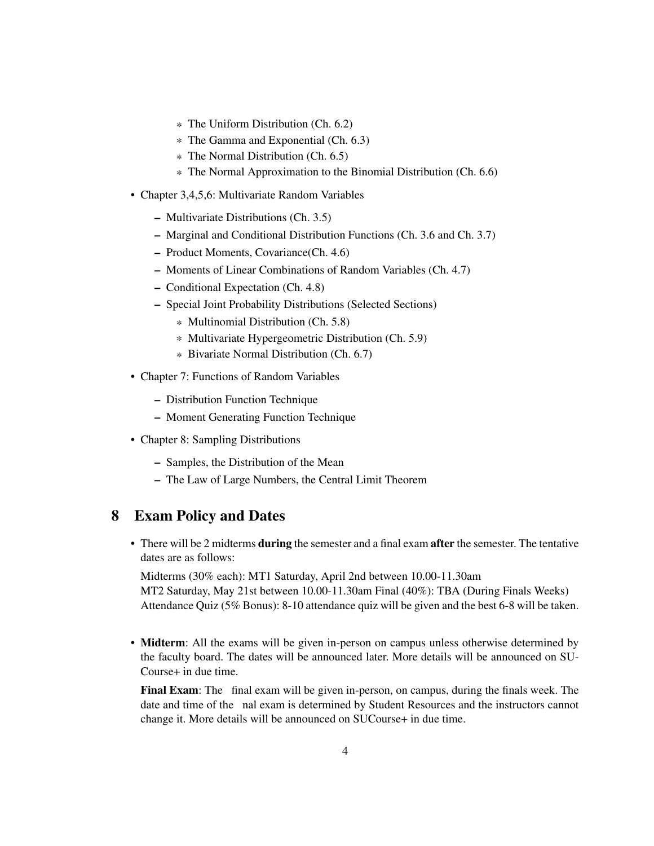- \* The Uniform Distribution (Ch. 6.2)
- \* The Gamma and Exponential (Ch. 6.3)
- \* The Normal Distribution (Ch. 6.5)
- \* The Normal Approximation to the Binomial Distribution (Ch. 6.6)
- Chapter 3,4,5,6: Multivariate Random Variables
	- Multivariate Distributions (Ch. 3.5)
	- Marginal and Conditional Distribution Functions (Ch. 3.6 and Ch. 3.7)
	- Product Moments, Covariance(Ch. 4.6)
	- Moments of Linear Combinations of Random Variables (Ch. 4.7)
	- Conditional Expectation (Ch. 4.8)
	- Special Joint Probability Distributions (Selected Sections)
		- \* Multinomial Distribution (Ch. 5.8)
		- \* Multivariate Hypergeometric Distribution (Ch. 5.9)
		- \* Bivariate Normal Distribution (Ch. 6.7)
- Chapter 7: Functions of Random Variables
	- Distribution Function Technique
	- Moment Generating Function Technique
- Chapter 8: Sampling Distributions
	- Samples, the Distribution of the Mean
	- The Law of Large Numbers, the Central Limit Theorem

#### 8 Exam Policy and Dates

• There will be 2 midterms **during** the semester and a final exam **after** the semester. The tentative dates are as follows:

Midterms (30% each): MT1 Saturday, April 2nd between 10.00-11.30am MT2 Saturday, May 21st between 10.00-11.30am Final (40%): TBA (During Finals Weeks) Attendance Quiz (5% Bonus): 8-10 attendance quiz will be given and the best 6-8 will be taken.

• Midterm: All the exams will be given in-person on campus unless otherwise determined by the faculty board. The dates will be announced later. More details will be announced on SU-Course+ in due time.

Final Exam: The final exam will be given in-person, on campus, during the finals week. The date and time of the nal exam is determined by Student Resources and the instructors cannot change it. More details will be announced on SUCourse+ in due time.